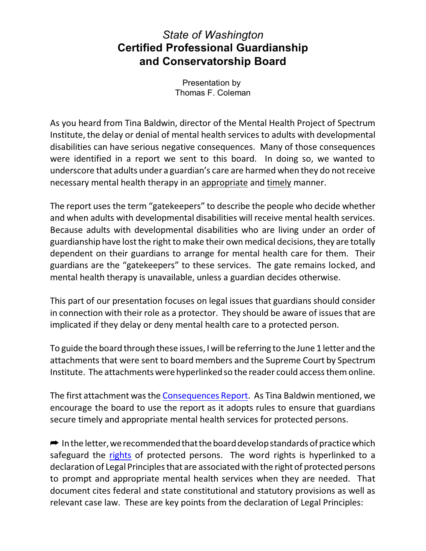## *State of Washington* **Certified Professional Guardianship and Conservatorship Board**

Presentation by Thomas F. Coleman

As you heard from Tina Baldwin, director of the Mental Health Project of Spectrum Institute, the delay or denial of mental health services to adults with developmental disabilities can have serious negative consequences. Many of those consequences were identified in a report we sent to this board. In doing so, we wanted to underscore that adults under a guardian's care are harmed when they do notreceive necessary mental health therapy in an appropriate and timely manner.

The report uses the term "gatekeepers" to describe the people who decide whether and when adults with developmental disabilities will receive mental health services. Because adults with developmental disabilities who are living under an order of guardianship have lost the right to make their own medical decisions, they are totally dependent on their guardians to arrange for mental health care for them. Their guardians are the "gatekeepers" to these services. The gate remains locked, and mental health therapy is unavailable, unless a guardian decides otherwise.

This part of our presentation focuses on legal issues that guardians should consider in connection with their role as a protector. They should be aware of issues that are implicated if they delay or deny mental health care to a protected person.

To guide the board through these issues, I will be referring to the June 1 letter and the attachments that were sent to board members and the Supreme Court by Spectrum Institute. The attachments were hyperlinked so the reader could access them online.

The first attachment was the [Consequences](https://spectruminstitute.org/consequences-report.pdf) Report. As Tina Baldwin mentioned, we encourage the board to use the report as it adopts rules to ensure that guardians secure timely and appropriate mental health services for protected persons.

 $\rightarrow$  In the letter, we recommended that the board develop standards of practice which safeguard the [rights](https://disabilityandguardianship.org/mental-health-project.pdf) of protected persons. The word rights is hyperlinked to a declaration of Legal Principles that are associated with the right of protected persons to prompt and appropriate mental health services when they are needed. That document cites federal and state constitutional and statutory provisions as well as relevant case law. These are key points from the declaration of Legal Principles: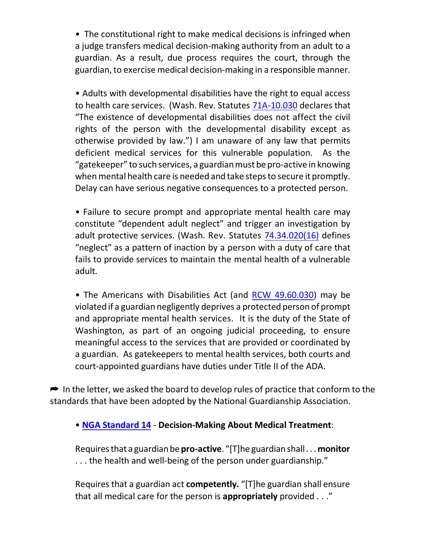• The constitutional right to make medical decisions is infringed when a judge transfers medical decision-making authority from an adult to a guardian. As a result, due process requires the court, through the guardian, to exercise medical decision-making in a responsible manner.

• Adults with developmental disabilities have the right to equal access to health care services. (Wash. Rev. Statutes [71A-10.030](https://casetext.com/statute/revised-code-of-washington/title-71a-developmental-disabilities/chapter-71a10-general-provisions/section-71a10030-civil-and-parental-rights-not-affected) declares that "The existence of developmental disabilities does not affect the civil rights of the person with the developmental disability except as otherwise provided by law.") I am unaware of any law that permits deficient medical services for this vulnerable population. As the "gatekeeper" to such services, a guardianmustbe pro-active in knowing when mental health care is needed and take steps to secure it promptly. Delay can have serious negative consequences to a protected person.

• Failure to secure prompt and appropriate mental health care may constitute "dependent adult neglect" and trigger an investigation by adult protective services. (Wash. Rev. Statutes [74.34.020\(16\)](https://app.leg.wa.gov/rcw/default.aspx?cite=74.34.020) defines "neglect" as a pattern of inaction by a person with a duty of care that fails to provide services to maintain the mental health of a vulnerable adult.

• The Americans with Disabilities Act (and [RCW 49.60.030](https://apps.leg.wa.gov/rcw/default.aspx?cite=49.60.030)) may be violated if a guardian negligently deprives a protected person of prompt and appropriate mental health services. It is the duty of the State of Washington, as part of an ongoing judicial proceeding, to ensure meaningful access to the services that are provided or coordinated by a guardian. As gatekeepers to mental health services, both courts and court-appointed guardians have duties under Title II of the ADA.

 $\rightarrow$  In the letter, we asked the board to develop rules of practice that conform to the standards that have been adopted by the National Guardianship Association.

## • **[NGA Standard 14](https://www.guardianship.org/wp-content/uploads/2017/07/NGA-Standards-with-Summit-Revisions-2017.pdf)** - **Decision-Making About Medical Treatment**:

Requiresthat a guardianbe **pro-active**. "[T]he guardianshall. . . **monitor** . . . the health and well-being of the person under guardianship."

Requires that a guardian act **competently.** "[T]he guardian shall ensure that all medical care for the person is **appropriately** provided . . ."